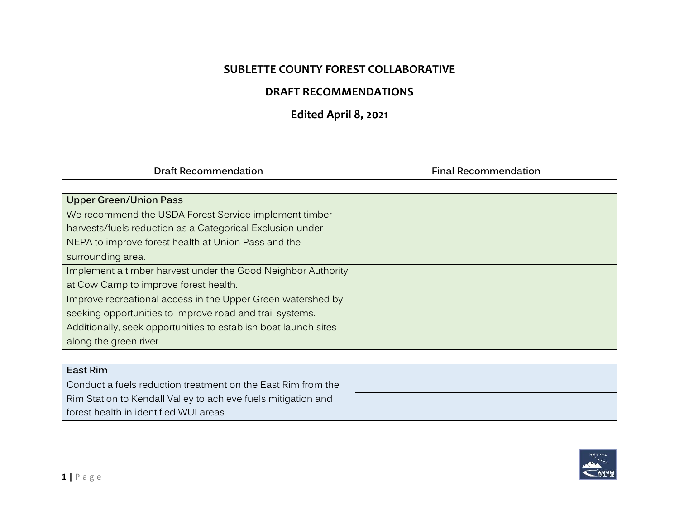## **SUBLETTE COUNTY FOREST COLLABORATIVE**

## **DRAFT RECOMMENDATIONS**

## **Edited April 8, 2021**

| <b>Draft Recommendation</b>                                     | <b>Final Recommendation</b> |
|-----------------------------------------------------------------|-----------------------------|
|                                                                 |                             |
| <b>Upper Green/Union Pass</b>                                   |                             |
| We recommend the USDA Forest Service implement timber           |                             |
| harvests/fuels reduction as a Categorical Exclusion under       |                             |
| NEPA to improve forest health at Union Pass and the             |                             |
| surrounding area.                                               |                             |
| Implement a timber harvest under the Good Neighbor Authority    |                             |
| at Cow Camp to improve forest health.                           |                             |
| Improve recreational access in the Upper Green watershed by     |                             |
| seeking opportunities to improve road and trail systems.        |                             |
| Additionally, seek opportunities to establish boat launch sites |                             |
| along the green river.                                          |                             |
|                                                                 |                             |
| East Rim                                                        |                             |
| Conduct a fuels reduction treatment on the East Rim from the    |                             |
| Rim Station to Kendall Valley to achieve fuels mitigation and   |                             |
| forest health in identified WUI areas.                          |                             |

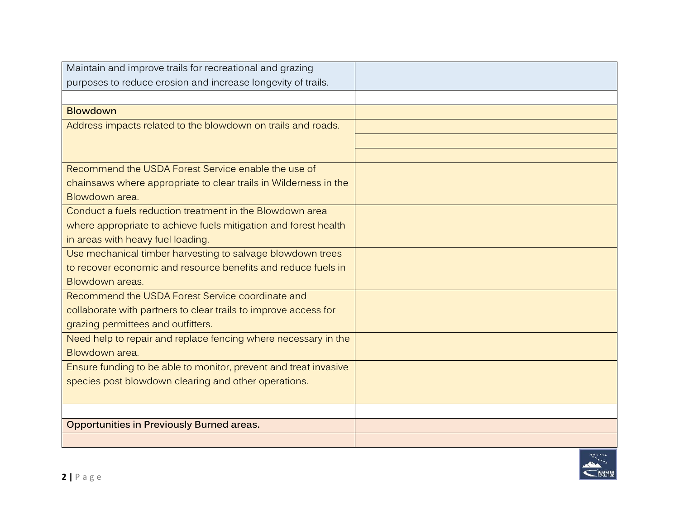| Maintain and improve trails for recreational and grazing         |  |
|------------------------------------------------------------------|--|
| purposes to reduce erosion and increase longevity of trails.     |  |
|                                                                  |  |
| <b>Blowdown</b>                                                  |  |
| Address impacts related to the blowdown on trails and roads.     |  |
|                                                                  |  |
|                                                                  |  |
| Recommend the USDA Forest Service enable the use of              |  |
| chainsaws where appropriate to clear trails in Wilderness in the |  |
| Blowdown area.                                                   |  |
| Conduct a fuels reduction treatment in the Blowdown area         |  |
| where appropriate to achieve fuels mitigation and forest health  |  |
| in areas with heavy fuel loading.                                |  |
| Use mechanical timber harvesting to salvage blowdown trees       |  |
| to recover economic and resource benefits and reduce fuels in    |  |
| Blowdown areas.                                                  |  |
| Recommend the USDA Forest Service coordinate and                 |  |
| collaborate with partners to clear trails to improve access for  |  |
| grazing permittees and outfitters.                               |  |
| Need help to repair and replace fencing where necessary in the   |  |
| Blowdown area.                                                   |  |
| Ensure funding to be able to monitor, prevent and treat invasive |  |
| species post blowdown clearing and other operations.             |  |
|                                                                  |  |
|                                                                  |  |
| <b>Opportunities in Previously Burned areas.</b>                 |  |
|                                                                  |  |

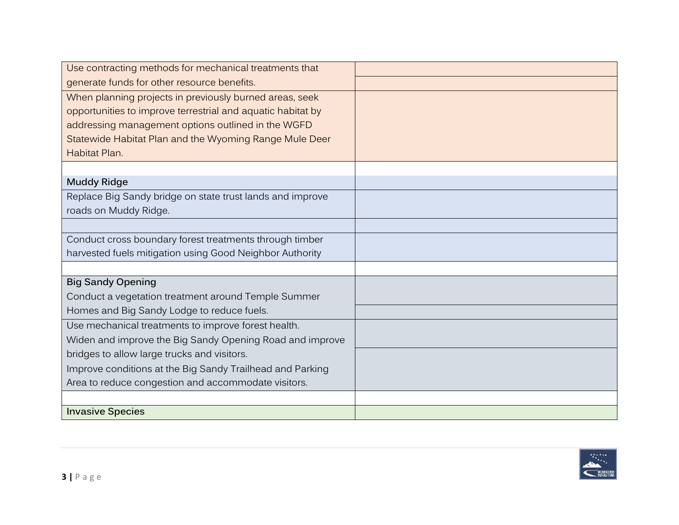| Use contracting methods for mechanical treatments that      |  |
|-------------------------------------------------------------|--|
| generate funds for other resource benefits.                 |  |
| When planning projects in previously burned areas, seek     |  |
| opportunities to improve terrestrial and aquatic habitat by |  |
| addressing management options outlined in the WGFD          |  |
| Statewide Habitat Plan and the Wyoming Range Mule Deer      |  |
| Habitat Plan.                                               |  |
|                                                             |  |
| <b>Muddy Ridge</b>                                          |  |
| Replace Big Sandy bridge on state trust lands and improve   |  |
| roads on Muddy Ridge.                                       |  |
|                                                             |  |
| Conduct cross boundary forest treatments through timber     |  |
| harvested fuels mitigation using Good Neighbor Authority    |  |
|                                                             |  |
| <b>Big Sandy Opening</b>                                    |  |
| Conduct a vegetation treatment around Temple Summer         |  |
| Homes and Big Sandy Lodge to reduce fuels.                  |  |
| Use mechanical treatments to improve forest health.         |  |
| Widen and improve the Big Sandy Opening Road and improve    |  |
| bridges to allow large trucks and visitors.                 |  |
| Improve conditions at the Big Sandy Trailhead and Parking   |  |
| Area to reduce congestion and accommodate visitors.         |  |
|                                                             |  |
| <b>Invasive Species</b>                                     |  |

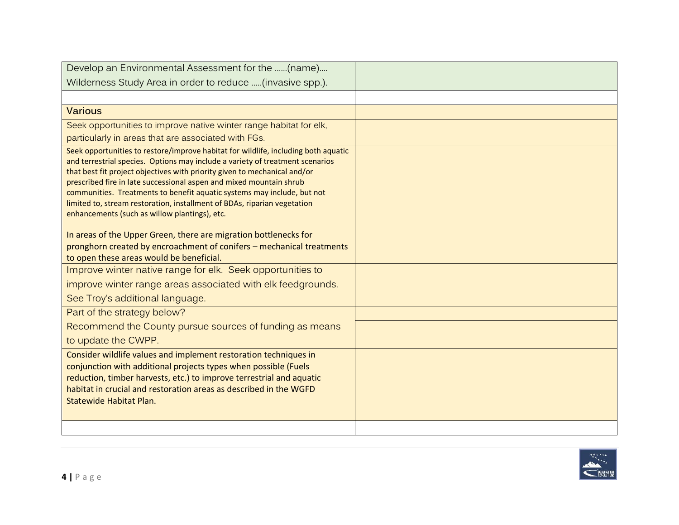| Develop an Environmental Assessment for the (name)                                                                                               |  |
|--------------------------------------------------------------------------------------------------------------------------------------------------|--|
| Wilderness Study Area in order to reduce (invasive spp.).                                                                                        |  |
|                                                                                                                                                  |  |
| <b>Various</b>                                                                                                                                   |  |
| Seek opportunities to improve native winter range habitat for elk,                                                                               |  |
| particularly in areas that are associated with FGs.                                                                                              |  |
| Seek opportunities to restore/improve habitat for wildlife, including both aquatic                                                               |  |
| and terrestrial species. Options may include a variety of treatment scenarios                                                                    |  |
| that best fit project objectives with priority given to mechanical and/or<br>prescribed fire in late successional aspen and mixed mountain shrub |  |
| communities. Treatments to benefit aquatic systems may include, but not                                                                          |  |
| limited to, stream restoration, installment of BDAs, riparian vegetation                                                                         |  |
| enhancements (such as willow plantings), etc.                                                                                                    |  |
| In areas of the Upper Green, there are migration bottlenecks for                                                                                 |  |
| pronghorn created by encroachment of conifers - mechanical treatments                                                                            |  |
| to open these areas would be beneficial.                                                                                                         |  |
| Improve winter native range for elk. Seek opportunities to                                                                                       |  |
| improve winter range areas associated with elk feedgrounds.                                                                                      |  |
| See Troy's additional language.                                                                                                                  |  |
| Part of the strategy below?                                                                                                                      |  |
| Recommend the County pursue sources of funding as means                                                                                          |  |
| to update the CWPP.                                                                                                                              |  |
| Consider wildlife values and implement restoration techniques in                                                                                 |  |
| conjunction with additional projects types when possible (Fuels                                                                                  |  |
| reduction, timber harvests, etc.) to improve terrestrial and aquatic                                                                             |  |
| habitat in crucial and restoration areas as described in the WGFD<br><b>Statewide Habitat Plan.</b>                                              |  |
|                                                                                                                                                  |  |
|                                                                                                                                                  |  |
|                                                                                                                                                  |  |